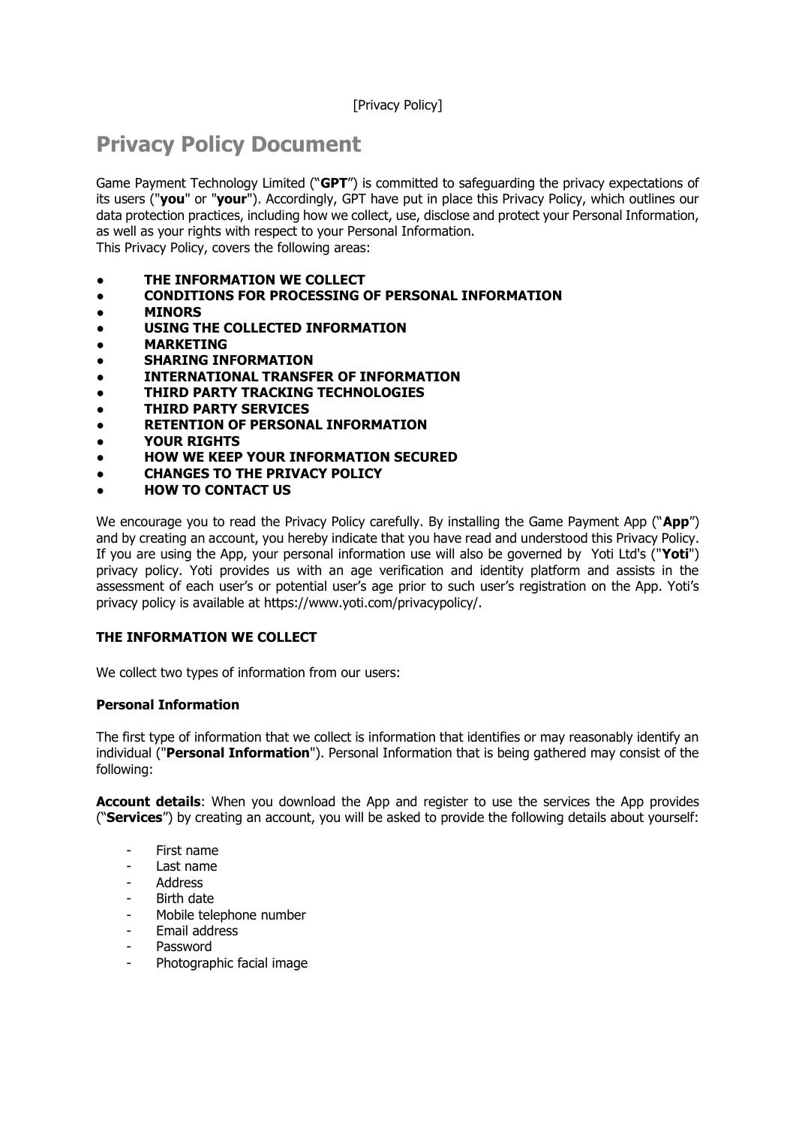# [Privacy Policy]

# **Privacy Policy Document**

Game Payment Technology Limited ("**GPT**") is committed to safeguarding the privacy expectations of its users ("**you**" or "**your**"). Accordingly, GPT have put in place this Privacy Policy, which outlines our data protection practices, including how we collect, use, disclose and protect your Personal Information, as well as your rights with respect to your Personal Information. This Privacy Policy, covers the following areas:

- **THE INFORMATION WE COLLECT**
- **CONDITIONS FOR PROCESSING OF PERSONAL INFORMATION**
- **MINORS**
- **USING THE COLLECTED INFORMATION**
- **MARKETING**
- **SHARING INFORMATION**
- **INTERNATIONAL TRANSFER OF INFORMATION**
- **THIRD PARTY TRACKING TECHNOLOGIES**
- **THIRD PARTY SERVICES**
- **RETENTION OF PERSONAL INFORMATION**
- **YOUR RIGHTS**
- **HOW WE KEEP YOUR INFORMATION SECURED**
- **CHANGES TO THE PRIVACY POLICY**
- **HOW TO CONTACT US**

We encourage you to read the Privacy Policy carefully. By installing the Game Payment App ("**App**") and by creating an account, you hereby indicate that you have read and understood this Privacy Policy. If you are using the App, your personal information use will also be governed by Yoti Ltd's ("**Yoti**") privacy policy. Yoti provides us with an age verification and identity platform and assists in the assessment of each user's or potential user's age prior to such user's registration on the App. Yoti's privacy policy is available at https://www.yoti.com/privacypolicy/.

## **THE INFORMATION WE COLLECT**

We collect two types of information from our users:

## **Personal Information**

The first type of information that we collect is information that identifies or may reasonably identify an individual ("**Personal Information**"). Personal Information that is being gathered may consist of the following:

**Account details**: When you download the App and register to use the services the App provides ("**Services**") by creating an account, you will be asked to provide the following details about yourself:

- First name
- Last name
- **Address**
- Birth date
- Mobile telephone number
- Email address
- Password
- Photographic facial image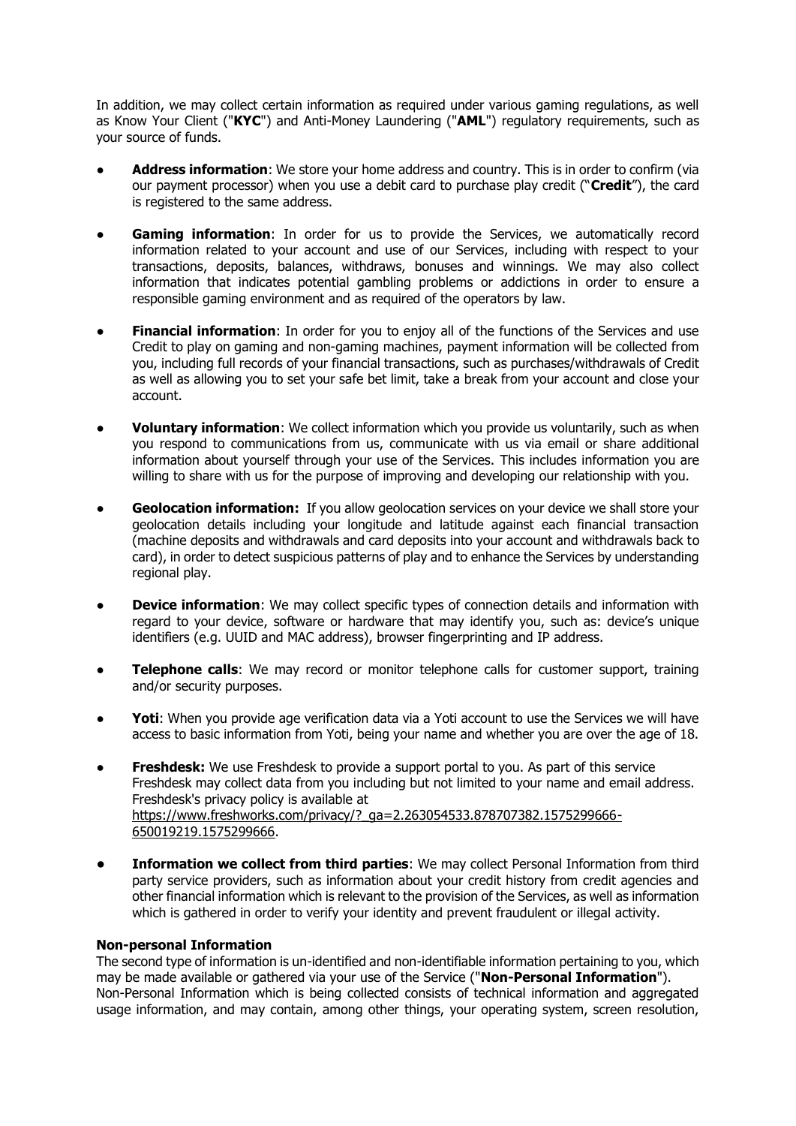In addition, we may collect certain information as required under various gaming regulations, as well as Know Your Client ("**KYC**") and Anti-Money Laundering ("**AML**") regulatory requirements, such as your source of funds.

- Address information: We store your home address and country. This is in order to confirm (via our payment processor) when you use a debit card to purchase play credit ("**Credit**"), the card is registered to the same address.
- Gaming information: In order for us to provide the Services, we automatically record information related to your account and use of our Services, including with respect to your transactions, deposits, balances, withdraws, bonuses and winnings. We may also collect information that indicates potential gambling problems or addictions in order to ensure a responsible gaming environment and as required of the operators by law.
- **Financial information**: In order for you to enjoy all of the functions of the Services and use Credit to play on gaming and non-gaming machines, payment information will be collected from you, including full records of your financial transactions, such as purchases/withdrawals of Credit as well as allowing you to set your safe bet limit, take a break from your account and close your account.
- **Voluntary information:** We collect information which you provide us voluntarily, such as when you respond to communications from us, communicate with us via email or share additional information about yourself through your use of the Services. This includes information you are willing to share with us for the purpose of improving and developing our relationship with you.
- **Geolocation information:** If you allow geolocation services on your device we shall store your geolocation details including your longitude and latitude against each financial transaction (machine deposits and withdrawals and card deposits into your account and withdrawals back to card), in order to detect suspicious patterns of play and to enhance the Services by understanding regional play.
- **Device information**: We may collect specific types of connection details and information with regard to your device, software or hardware that may identify you, such as: device's unique identifiers (e.g. UUID and MAC address), browser fingerprinting and IP address.
- **Telephone calls**: We may record or monitor telephone calls for customer support, training and/or security purposes.
- Yoti: When you provide age verification data via a Yoti account to use the Services we will have access to basic information from Yoti, being your name and whether you are over the age of 18.
- Freshdesk: We use Freshdesk to provide a support portal to you. As part of this service Freshdesk may collect data from you including but not limited to your name and email address. Freshdesk's privacy policy is available at [https://www.freshworks.com/privacy/?\\_ga=2.263054533.878707382.1575299666-](https://www.freshworks.com/privacy/?_ga=2.263054533.878707382.1575299666-650019219.1575299666) [650019219.1575299666.](https://www.freshworks.com/privacy/?_ga=2.263054533.878707382.1575299666-650019219.1575299666)
- **Information we collect from third parties:** We may collect Personal Information from third party service providers, such as information about your credit history from credit agencies and other financial information which is relevant to the provision of the Services, as well as information which is gathered in order to verify your identity and prevent fraudulent or illegal activity.

## **Non-personal Information**

The second type of information is un-identified and non-identifiable information pertaining to you, which may be made available or gathered via your use of the Service ("**Non-Personal Information**"). Non-Personal Information which is being collected consists of technical information and aggregated usage information, and may contain, among other things, your operating system, screen resolution,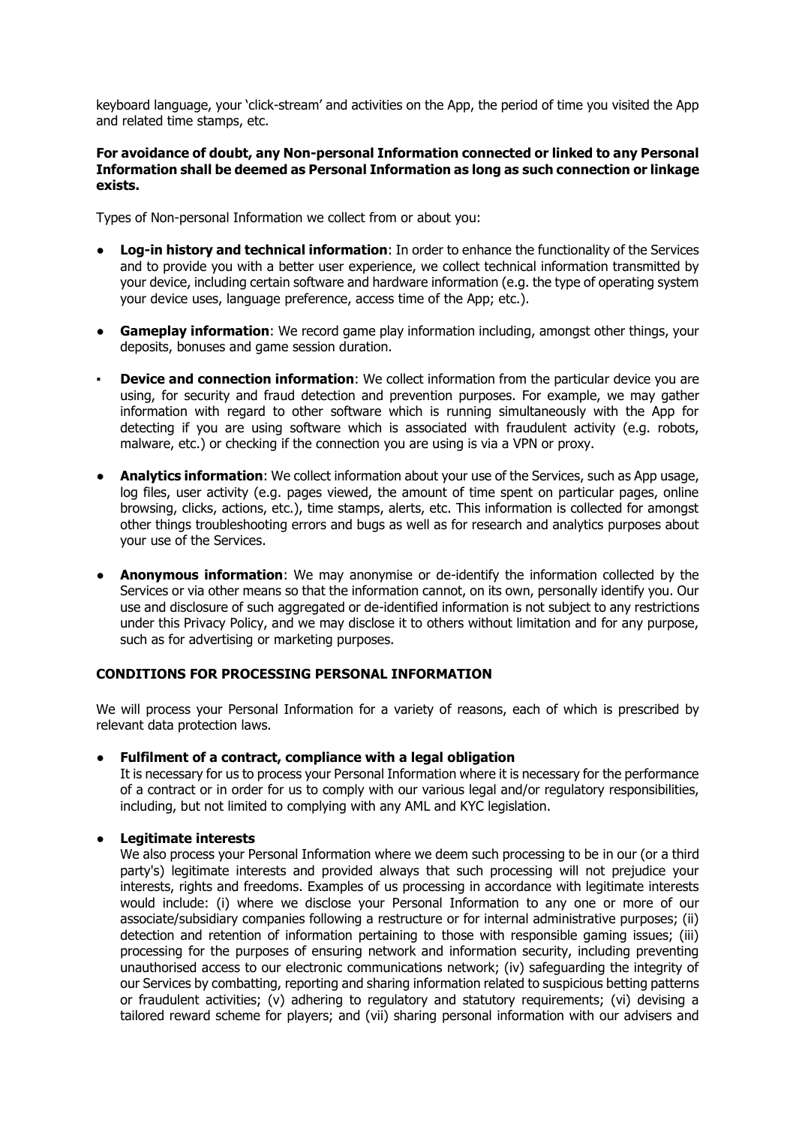keyboard language, your 'click-stream' and activities on the App, the period of time you visited the App and related time stamps, etc.

#### **For avoidance of doubt, any Non-personal Information connected or linked to any Personal Information shall be deemed as Personal Information as long as such connection or linkage exists.**

Types of Non-personal Information we collect from or about you:

- **Log-in history and technical information**: In order to enhance the functionality of the Services and to provide you with a better user experience, we collect technical information transmitted by your device, including certain software and hardware information (e.g. the type of operating system your device uses, language preference, access time of the App; etc.).
- **Gameplay information**: We record game play information including, amongst other things, your deposits, bonuses and game session duration.
- **Device and connection information:** We collect information from the particular device you are using, for security and fraud detection and prevention purposes. For example, we may gather information with regard to other software which is running simultaneously with the App for detecting if you are using software which is associated with fraudulent activity (e.g. robots, malware, etc.) or checking if the connection you are using is via a VPN or proxy.
- **Analytics information**: We collect information about your use of the Services, such as App usage, log files, user activity (e.g. pages viewed, the amount of time spent on particular pages, online browsing, clicks, actions, etc.), time stamps, alerts, etc. This information is collected for amongst other things troubleshooting errors and bugs as well as for research and analytics purposes about your use of the Services.
- **Anonymous information**: We may anonymise or de-identify the information collected by the Services or via other means so that the information cannot, on its own, personally identify you. Our use and disclosure of such aggregated or de-identified information is not subject to any restrictions under this Privacy Policy, and we may disclose it to others without limitation and for any purpose, such as for advertising or marketing purposes.

## **CONDITIONS FOR PROCESSING PERSONAL INFORMATION**

We will process your Personal Information for a variety of reasons, each of which is prescribed by relevant data protection laws.

## ● **Fulfilment of a contract, compliance with a legal obligation**

It is necessary for us to process your Personal Information where it is necessary for the performance of a contract or in order for us to comply with our various legal and/or regulatory responsibilities, including, but not limited to complying with any AML and KYC legislation.

## ● **Legitimate interests**

We also process your Personal Information where we deem such processing to be in our (or a third party's) legitimate interests and provided always that such processing will not prejudice your interests, rights and freedoms. Examples of us processing in accordance with legitimate interests would include: (i) where we disclose your Personal Information to any one or more of our associate/subsidiary companies following a restructure or for internal administrative purposes; (ii) detection and retention of information pertaining to those with responsible gaming issues; (iii) processing for the purposes of ensuring network and information security, including preventing unauthorised access to our electronic communications network; (iv) safeguarding the integrity of our Services by combatting, reporting and sharing information related to suspicious betting patterns or fraudulent activities; (v) adhering to regulatory and statutory requirements; (vi) devising a tailored reward scheme for players; and (vii) sharing personal information with our advisers and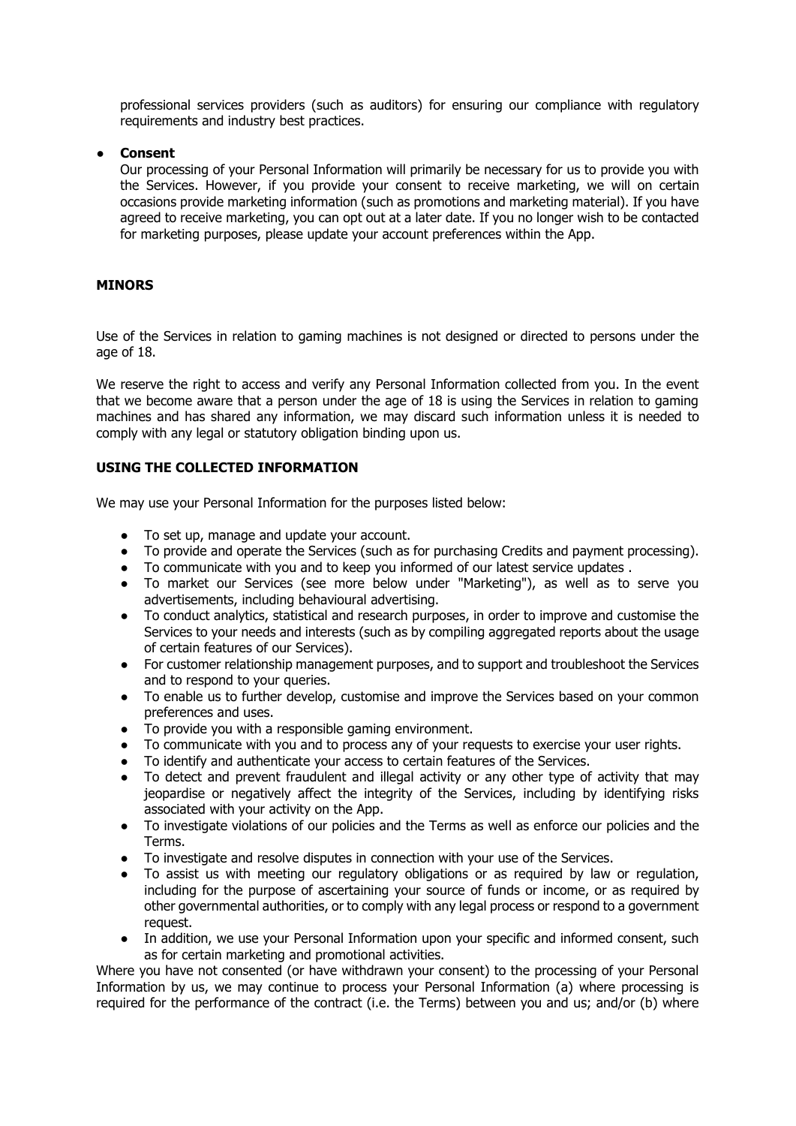professional services providers (such as auditors) for ensuring our compliance with regulatory requirements and industry best practices.

#### ● **Consent**

Our processing of your Personal Information will primarily be necessary for us to provide you with the Services. However, if you provide your consent to receive marketing, we will on certain occasions provide marketing information (such as promotions and marketing material). If you have agreed to receive marketing, you can opt out at a later date. If you no longer wish to be contacted for marketing purposes, please update your account preferences within the App.

#### **MINORS**

Use of the Services in relation to gaming machines is not designed or directed to persons under the age of 18.

We reserve the right to access and verify any Personal Information collected from you. In the event that we become aware that a person under the age of 18 is using the Services in relation to gaming machines and has shared any information, we may discard such information unless it is needed to comply with any legal or statutory obligation binding upon us.

## **USING THE COLLECTED INFORMATION**

We may use your Personal Information for the purposes listed below:

- To set up, manage and update your account.
- To provide and operate the Services (such as for purchasing Credits and payment processing).
- To communicate with you and to keep you informed of our latest service updates .
- To market our Services (see more below under "Marketing"), as well as to serve you advertisements, including behavioural advertising.
- To conduct analytics, statistical and research purposes, in order to improve and customise the Services to your needs and interests (such as by compiling aggregated reports about the usage of certain features of our Services).
- For customer relationship management purposes, and to support and troubleshoot the Services and to respond to your queries.
- To enable us to further develop, customise and improve the Services based on your common preferences and uses.
- To provide you with a responsible gaming environment.
- To communicate with you and to process any of your requests to exercise your user rights.
- To identify and authenticate your access to certain features of the Services.
- To detect and prevent fraudulent and illegal activity or any other type of activity that may jeopardise or negatively affect the integrity of the Services, including by identifying risks associated with your activity on the App.
- To investigate violations of our policies and the Terms as well as enforce our policies and the Terms.
- To investigate and resolve disputes in connection with your use of the Services.
- To assist us with meeting our regulatory obligations or as required by law or regulation, including for the purpose of ascertaining your source of funds or income, or as required by other governmental authorities, or to comply with any legal process or respond to a government request.
- In addition, we use your Personal Information upon your specific and informed consent, such as for certain marketing and promotional activities.

Where you have not consented (or have withdrawn your consent) to the processing of your Personal Information by us, we may continue to process your Personal Information (a) where processing is required for the performance of the contract (i.e. the Terms) between you and us; and/or (b) where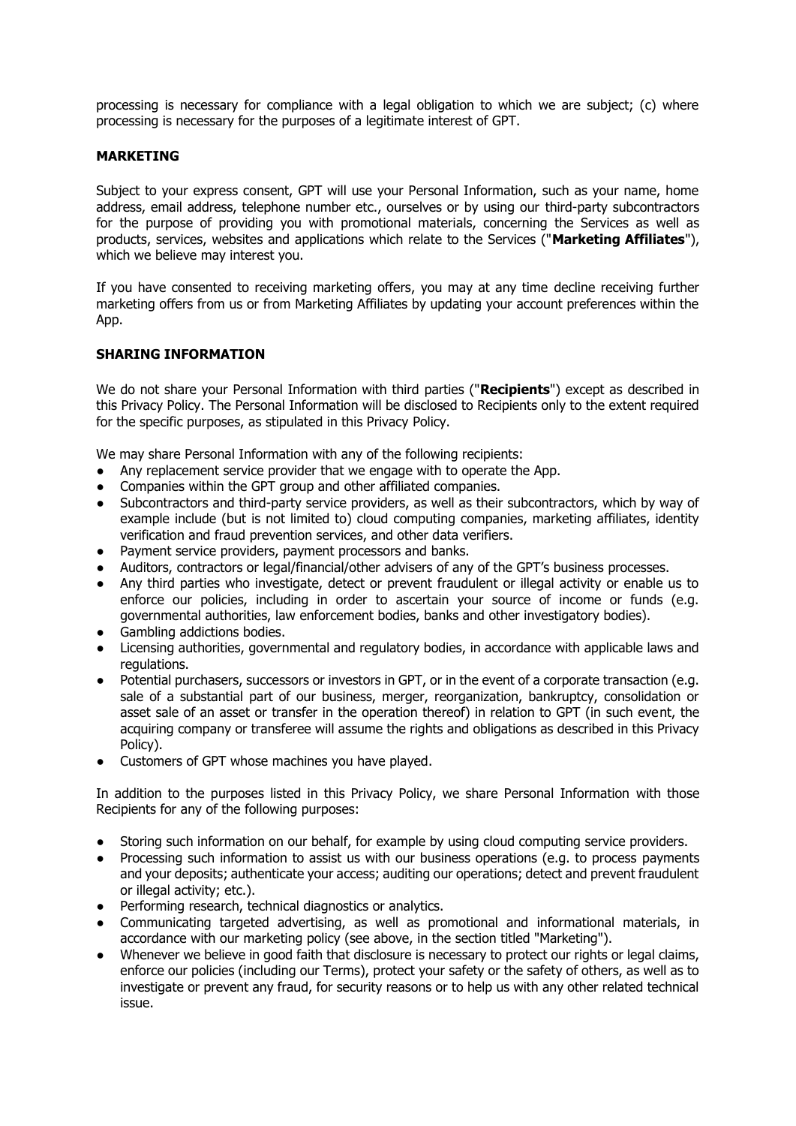processing is necessary for compliance with a legal obligation to which we are subject; (c) where processing is necessary for the purposes of a legitimate interest of GPT.

#### **MARKETING**

Subject to your express consent, GPT will use your Personal Information, such as your name, home address, email address, telephone number etc., ourselves or by using our third-party subcontractors for the purpose of providing you with promotional materials, concerning the Services as well as products, services, websites and applications which relate to the Services ("**Marketing Affiliates**"), which we believe may interest you.

If you have consented to receiving marketing offers, you may at any time decline receiving further marketing offers from us or from Marketing Affiliates by updating your account preferences within the App.

## **SHARING INFORMATION**

We do not share your Personal Information with third parties ("**Recipients**") except as described in this Privacy Policy. The Personal Information will be disclosed to Recipients only to the extent required for the specific purposes, as stipulated in this Privacy Policy.

We may share Personal Information with any of the following recipients:

- Any replacement service provider that we engage with to operate the App.
- Companies within the GPT group and other affiliated companies.<br>• Subcontractors and third-party service providers, as well as their
- Subcontractors and third-party service providers, as well as their subcontractors, which by way of example include (but is not limited to) cloud computing companies, marketing affiliates, identity verification and fraud prevention services, and other data verifiers.
- Payment service providers, payment processors and banks.
- Auditors, contractors or legal/financial/other advisers of any of the GPT's business processes.
- Any third parties who investigate, detect or prevent fraudulent or illegal activity or enable us to enforce our policies, including in order to ascertain your source of income or funds (e.g. governmental authorities, law enforcement bodies, banks and other investigatory bodies).
- Gambling addictions bodies.
- Licensing authorities, governmental and regulatory bodies, in accordance with applicable laws and regulations.
- Potential purchasers, successors or investors in GPT, or in the event of a corporate transaction (e.g. sale of a substantial part of our business, merger, reorganization, bankruptcy, consolidation or asset sale of an asset or transfer in the operation thereof) in relation to GPT (in such event, the acquiring company or transferee will assume the rights and obligations as described in this Privacy Policy).
- Customers of GPT whose machines you have played.

In addition to the purposes listed in this Privacy Policy, we share Personal Information with those Recipients for any of the following purposes:

- Storing such information on our behalf, for example by using cloud computing service providers.
- Processing such information to assist us with our business operations (e.g. to process payments and your deposits; authenticate your access; auditing our operations; detect and prevent fraudulent or illegal activity; etc.).
- Performing research, technical diagnostics or analytics.
- Communicating targeted advertising, as well as promotional and informational materials, in accordance with our marketing policy (see above, in the section titled "Marketing").
- Whenever we believe in good faith that disclosure is necessary to protect our rights or legal claims, enforce our policies (including our Terms), protect your safety or the safety of others, as well as to investigate or prevent any fraud, for security reasons or to help us with any other related technical issue.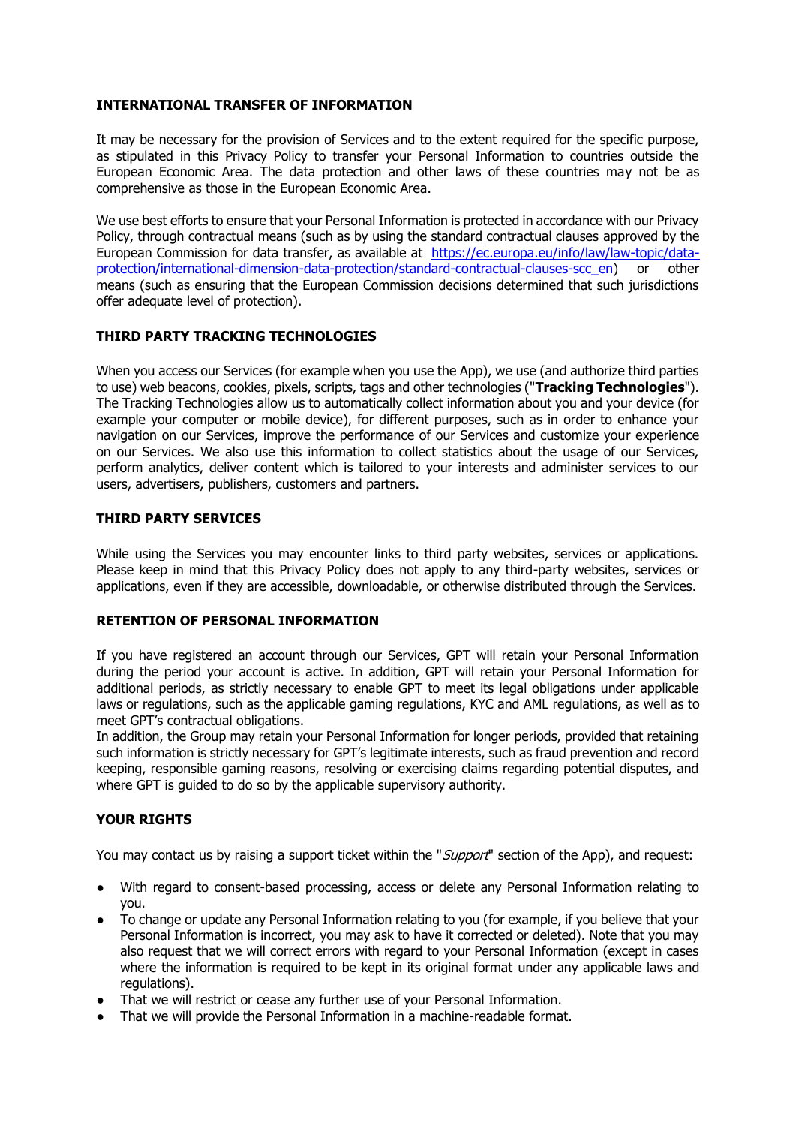## **INTERNATIONAL TRANSFER OF INFORMATION**

It may be necessary for the provision of Services and to the extent required for the specific purpose, as stipulated in this Privacy Policy to transfer your Personal Information to countries outside the European Economic Area. The data protection and other laws of these countries may not be as comprehensive as those in the European Economic Area.

We use best efforts to ensure that your Personal Information is protected in accordance with our Privacy Policy, through contractual means (such as by using the standard contractual clauses approved by the European Commission for data transfer, as available at [https://ec.europa.eu/info/law/law-topic/data](https://ec.europa.eu/info/law/law-topic/data-protection/international-dimension-data-protection/standard-contractual-clauses-scc_en)[protection/international-dimension-data-protection/standard-contractual-clauses-scc\\_en\)](https://ec.europa.eu/info/law/law-topic/data-protection/international-dimension-data-protection/standard-contractual-clauses-scc_en) or other means (such as ensuring that the European Commission decisions determined that such jurisdictions offer adequate level of protection).

## **THIRD PARTY TRACKING TECHNOLOGIES**

When you access our Services (for example when you use the App), we use (and authorize third parties to use) web beacons, cookies, pixels, scripts, tags and other technologies ("**Tracking Technologies**"). The Tracking Technologies allow us to automatically collect information about you and your device (for example your computer or mobile device), for different purposes, such as in order to enhance your navigation on our Services, improve the performance of our Services and customize your experience on our Services. We also use this information to collect statistics about the usage of our Services, perform analytics, deliver content which is tailored to your interests and administer services to our users, advertisers, publishers, customers and partners.

## **THIRD PARTY SERVICES**

While using the Services you may encounter links to third party websites, services or applications. Please keep in mind that this Privacy Policy does not apply to any third-party websites, services or applications, even if they are accessible, downloadable, or otherwise distributed through the Services.

## **RETENTION OF PERSONAL INFORMATION**

If you have registered an account through our Services, GPT will retain your Personal Information during the period your account is active. In addition, GPT will retain your Personal Information for additional periods, as strictly necessary to enable GPT to meet its legal obligations under applicable laws or regulations, such as the applicable gaming regulations, KYC and AML regulations, as well as to meet GPT's contractual obligations.

In addition, the Group may retain your Personal Information for longer periods, provided that retaining such information is strictly necessary for GPT's legitimate interests, such as fraud prevention and record keeping, responsible gaming reasons, resolving or exercising claims regarding potential disputes, and where GPT is guided to do so by the applicable supervisory authority.

## **YOUR RIGHTS**

You may contact us by raising a support ticket within the "*Support*" section of the App), and request:

- With regard to consent-based processing, access or delete any Personal Information relating to you.
- To change or update any Personal Information relating to you (for example, if you believe that your Personal Information is incorrect, you may ask to have it corrected or deleted). Note that you may also request that we will correct errors with regard to your Personal Information (except in cases where the information is required to be kept in its original format under any applicable laws and regulations).
- That we will restrict or cease any further use of your Personal Information.
- That we will provide the Personal Information in a machine-readable format.